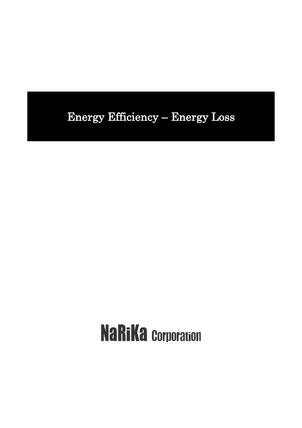# Energy Efficiency – Energy Loss

# **NaRiKa Corporation**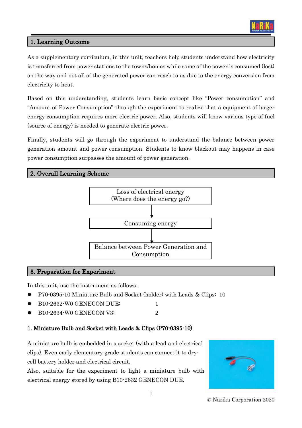

# 1. Learning Outcome

As a supplementary curriculum, in this unit, teachers help students understand how electricity is transferred from power stations to the towns/homes while some of the power is consumed (lost) on the way and not all of the generated power can reach to us due to the energy conversion from electricity to heat.

Based on this understanding, students learn basic concept like "Power consumption" and "Amount of Power Consumption" through the experiment to realize that a equipment of larger energy consumption requires more electric power. Also, students will know various type of fuel (source of energy) is needed to generate electric power.

Finally, students will go through the experiment to understand the balance between power generation amount and power consumption. Students to know blackout may happens in case power consumption surpasses the amount of power generation.

## 2. Overall Learning Scheme



#### 3. Preparation for Experiment

In this unit, use the instrument as follows.

- ⚫ P70-0395-10 Miniature Bulb and Socket (holder) with Leads & Clips: 10
- B<sub>10</sub>-2632-W<sub>0</sub> GENECON DUE: 1
- B<sub>10</sub>-2634-W<sub>0</sub> GENECON V3: 2

# 1. Miniature Bulb and Socket with Leads & Clips (P70-0395-10)

A miniature bulb is embedded in a socket (with a lead and electrical clips). Even early elementary grade students can connect it to drycell battery holder and electrical circuit.

Also, suitable for the experiment to light a miniature bulb with electrical energy stored by using B10-2632 GENECON DUE.



© Narika Corporation 2020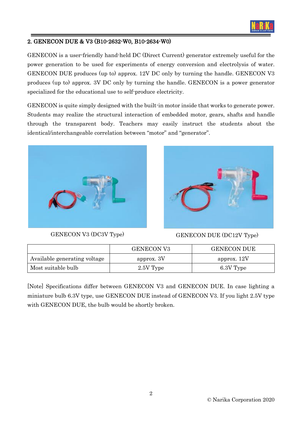

# 2. GENECON DUE & V3 (B10-2632-W0, B10-2634-W0)

GENECON is a user-friendly hand-held DC (Direct Current) generator extremely useful for the power generation to be used for experiments of energy conversion and electrolysis of water. GENECON DUE produces (up to) approx. 12V DC only by turning the handle. GENECON V3 produces (up to) approx. 3V DC only by turning the handle. GENECON is a power generator specialized for the educational use to self-produce electricity.

GENECON is quite simply designed with the built-in motor inside that works to generate power. Students may realize the structural interaction of embedded motor, gears, shafts and handle through the transparent body. Teachers may easily instruct the students about the identical/interchangeable correlation between "motor" and "generator".





GENECON V3 (DC3V Type) GENECON DUE (DC12V Type)

|                              | <b>GENECON V3</b> | <b>GENECON DUE</b> |
|------------------------------|-------------------|--------------------|
| Available generating voltage | approx. 3V        | approx. 12V        |
| Most suitable bulb           | 2.5V Type         | 6.3V Type          |

[Note] Specifications differ between GENECON V3 and GENECON DUE. In case lighting a miniature bulb 6.3V type, use GENECON DUE instead of GENECON V3. If you light 2.5V type with GENECON DUE, the bulb would be shortly broken.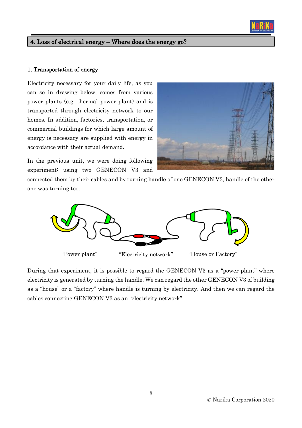

#### 1. Transportation of energy

Electricity necessary for your daily life, as you can se in drawing below, comes from various power plants (e.g. thermal power plant) and is transported through electricity network to our homes. In addition, factories, transportation, or commercial buildings for which large amount of energy is necessary are supplied with energy in accordance with their actual demand.

In the previous unit, we were doing following experiment: using two GENECON V3 and



connected them by their cables and by turning handle of one GENECON V3, handle of the other one was turning too.



During that experiment, it is possible to regard the GENECON V3 as a "power plant" where electricity is generated by turning the handle. We can regard the other GENECON V3 of building as a "house" or a "factory" where handle is turning by electricity. And then we can regard the cables connecting GENECON V3 as an "electricity network".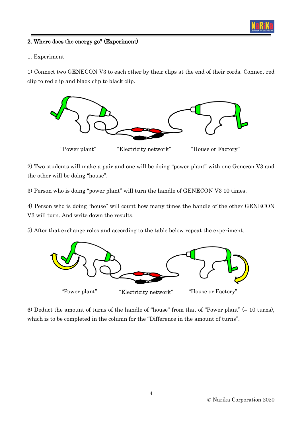

# 2. Where does the energy go? (Experiment)

#### 1. Experiment

1) Connect two GENECON V3 to each other by their clips at the end of their cords. Connect red clip to red clip and black clip to black clip.



2) Two students will make a pair and one will be doing "power plant" with one Genecon V3 and the other will be doing "house".

3) Person who is doing "power plant" will turn the handle of GENECON V3 10 times.

4) Person who is doing "house" will count how many times the handle of the other GENECON V3 will turn. And write down the results.

5) After that exchange roles and according to the table below repeat the experiment.



6) Deduct the amount of turns of the handle of "house" from that of "Power plant" (= 10 turns), which is to be completed in the column for the "Difference in the amount of turns".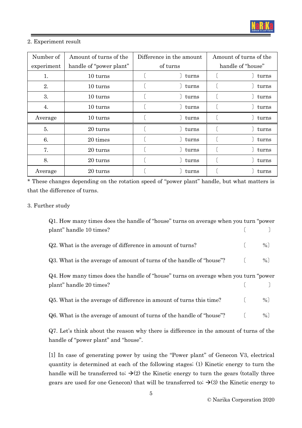

#### 2. Experiment result

| Number of  | Amount of turns of the  | Difference in the amount | Amount of turns of the |
|------------|-------------------------|--------------------------|------------------------|
| experiment | handle of "power plant" | of turns                 | handle of "house"      |
| 1.         | 10 turns                | turns                    | turns                  |
| 2.         | 10 turns                | turns                    | turns                  |
| 3.         | 10 turns                | turns                    | turns                  |
| 4.         | $10 \text{ turns}$      | turns                    | turns                  |
| Average    | $10 \text{ turns}$      | turns                    | turns                  |
| 5.         | 20 turns                | turns                    | turns                  |
| 6.         | 20 times                | turns                    | turns                  |
| 7.         | 20 turns                | turns                    | turns                  |
| 8.         | 20 turns                | turns                    | turns                  |
| Average    | 20 turns                | turns                    | turns                  |

\* These changes depending on the rotation speed of "power plant" handle, but what matters is that the difference of turns.

## 3. Further study

| Q1. How many times does the handle of "house" turns on average when you turn "power" |  |   |  |  |  |  |
|--------------------------------------------------------------------------------------|--|---|--|--|--|--|
| plant" handle 10 times?                                                              |  |   |  |  |  |  |
| Q2. What is the average of difference in amount of turns?                            |  | % |  |  |  |  |
| Q3. What is the average of amount of turns of the handle of "house"?                 |  | % |  |  |  |  |
| Q4. How many times does the handle of "house" turns on average when you turn "power" |  |   |  |  |  |  |
| plant" handle 20 times?                                                              |  |   |  |  |  |  |
| Q5. What is the average of difference in amount of turns this time?                  |  | % |  |  |  |  |
|                                                                                      |  |   |  |  |  |  |

Q7. Let's think about the reason why there is difference in the amount of turns of the handle of "power plant" and "house".

[1] In case of generating power by using the "Power plant" of Genecon V3, electrical quantity is determined at each of the following stages; (1) Kinetic energy to turn the handle will be transferred to;  $\rightarrow$  (2) the Kinetic energy to turn the gears (totally three gears are used for one Genecon) that will be transferred to;  $\rightarrow$  (3) the Kinetic energy to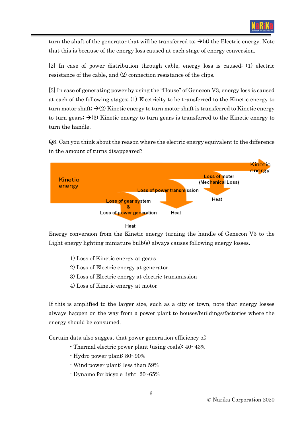

turn the shaft of the generator that will be transferred to;  $\rightarrow$  (4) the Electric energy. Note that this is because of the energy loss caused at each stage of energy conversion.

[2] In case of power distribution through cable, energy loss is caused; (1) electric resistance of the cable, and (2) connection resistance of the clips.

[3] In case of generating power by using the "House" of Genecon V3, energy loss is caused at each of the following stages; (1) Electricity to be transferred to the Kinetic energy to turn motor shaft;  $\rightarrow$  (2) Kinetic energy to turn motor shaft is transferred to Kinetic energy to turn gears;  $\rightarrow$ (3) Kinetic energy to turn gears is transferred to the Kinetic energy to turn the handle.

Q8. Can you think about the reason where the electric energy equivalent to the difference in the amount of turns disappeared?



Heat

Energy conversion from the Kinetic energy turning the handle of Genecon V3 to the Light energy lighting miniature bulb(s) always causes following energy losses.

- 1) Loss of Kinetic energy at gears
- 2) Loss of Electric energy at generator
- 3) Loss of Electric energy at electric transmission
- 4) Loss of Kinetic energy at motor

If this is amplified to the larger size, such as a city or town, note that energy losses always happen on the way from a power plant to houses/buildings/factories where the energy should be consumed.

Certain data also suggest that power generation efficiency of;

- Thermal electric power plant (using coals): 40~43%
- Hydro power plant: 80~90%
- Wind-power plant: less than 59%
- Dynamo for bicycle light: 20~65%